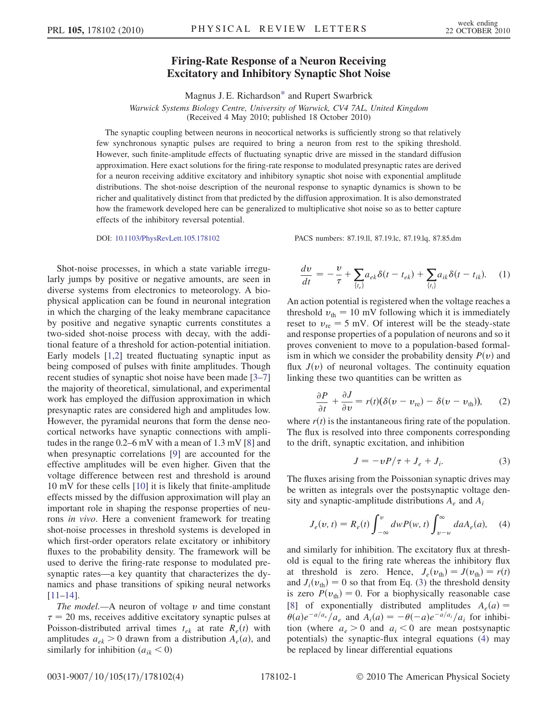## Firing-Rate Response of a Neuron Receiving Excitatory and Inhibitory Synaptic Shot Noise

Magnus J. E. Richardson[\\*](#page-3-0) and Rupert Swarbrick

Warwick Systems Biology Centre, University of Warwick, CV4 7AL, United Kingdom

(Received 4 May 2010; published 18 October 2010)

<span id="page-0-4"></span>The synaptic coupling between neurons in neocortical networks is sufficiently strong so that relatively few synchronous synaptic pulses are required to bring a neuron from rest to the spiking threshold. However, such finite-amplitude effects of fluctuating synaptic drive are missed in the standard diffusion approximation. Here exact solutions for the firing-rate response to modulated presynaptic rates are derived for a neuron receiving additive excitatory and inhibitory synaptic shot noise with exponential amplitude distributions. The shot-noise description of the neuronal response to synaptic dynamics is shown to be richer and qualitatively distinct from that predicted by the diffusion approximation. It is also demonstrated how the framework developed here can be generalized to multiplicative shot noise so as to better capture effects of the inhibitory reversal potential.

DOI: [10.1103/PhysRevLett.105.178102](http://dx.doi.org/10.1103/PhysRevLett.105.178102) PACS numbers: 87.19.ll, 87.19.lc, 87.19.lq, 87.85.dm

Shot-noise processes, in which a state variable irregularly jumps by positive or negative amounts, are seen in diverse systems from electronics to meteorology. A biophysical application can be found in neuronal integration in which the charging of the leaky membrane capacitance by positive and negative synaptic currents constitutes a two-sided shot-noise process with decay, with the additional feature of a threshold for action-potential initiation. Early models [\[1](#page-3-1),[2](#page-3-2)] treated fluctuating synaptic input as being composed of pulses with finite amplitudes. Though recent studies of synaptic shot noise have been made [[3](#page-3-3)[–7\]](#page-3-4) the majority of theoretical, simulational, and experimental work has employed the diffusion approximation in which presynaptic rates are considered high and amplitudes low. However, the pyramidal neurons that form the dense neocortical networks have synaptic connections with amplitudes in the range 0.2–6 mV with a mean of 1.3 mV [[8](#page-3-5)] and when presynaptic correlations [[9\]](#page-3-6) are accounted for the effective amplitudes will be even higher. Given that the voltage difference between rest and threshold is around 10 mV for these cells [\[10](#page-3-7)] it is likely that finite-amplitude effects missed by the diffusion approximation will play an important role in shaping the response properties of neurons in vivo. Here a convenient framework for treating shot-noise processes in threshold systems is developed in which first-order operators relate excitatory or inhibitory fluxes to the probability density. The framework will be used to derive the firing-rate response to modulated presynaptic rates—a key quantity that characterizes the dynamics and phase transitions of spiking neural networks [\[11–](#page-3-8)[14\]](#page-3-9).

The model.—A neuron of voltage  $\nu$  and time constant  $\tau$  = 20 ms, receives additive excitatory synaptic pulses at Poisson-distributed arrival times  $t_{ek}$  at rate  $R_e(t)$  with amplitudes  $a_{ek} > 0$  drawn from a distribution  $A_e(a)$ , and similarly for inhibition  $(a_{ik} < 0)$ 

<span id="page-0-3"></span>
$$
\frac{dv}{dt} = -\frac{v}{\tau} + \sum_{\{t_e\}} a_{ek} \delta(t - t_{ek}) + \sum_{\{t_i\}} a_{ik} \delta(t - t_{ik}). \tag{1}
$$

An action potential is registered when the voltage reaches a threshold  $v_{\text{th}} = 10$  mV following which it is immediately reset to  $v_{\rm re} = 5$  mV. Of interest will be the steady-state and response properties of a population of neurons and so it proves convenient to move to a population-based formalism in which we consider the probability density  $P(v)$  and flux  $J(v)$  of neuronal voltages. The continuity equation linking these two quantities can be written as

<span id="page-0-2"></span>
$$
\frac{\partial P}{\partial t} + \frac{\partial J}{\partial v} = r(t)(\delta(v - v_{\rm re}) - \delta(v - v_{\rm th})), \quad (2)
$$

<span id="page-0-0"></span>where  $r(t)$  is the instantaneous firing rate of the population. The flux is resolved into three components corresponding to the drift, synaptic excitation, and inhibition

$$
J = -vP/\tau + J_e + J_i. \tag{3}
$$

<span id="page-0-1"></span>The fluxes arising from the Poissonian synaptic drives may be written as integrals over the postsynaptic voltage density and synaptic-amplitude distributions  $A_e$  and  $A_i$ 

$$
J_e(v, t) = R_e(t) \int_{-\infty}^{v} dw P(w, t) \int_{v-w}^{\infty} da A_e(a), \quad (4)
$$

and similarly for inhibition. The excitatory flux at threshold is equal to the firing rate whereas the inhibitory flux at threshold is zero. Hence,  $J_e(v_{\text{th}}) = J(v_{\text{th}}) = r(t)$ and  $J_i(v_{\text{th}}) = 0$  so that from Eq. ([3\)](#page-0-0) the threshold density is zero  $P(v_{\text{th}}) = 0$ . For a biophysically reasonable case [\[8\]](#page-3-5) of exponentially distributed amplitudes  $A_e(a) =$  $\theta(a)e^{-a/a_e}/a_e$  and  $A_i(a) = -\theta(-a)e^{-a/a_i}/a_i$  for inhibition (where  $a_e > 0$  and  $a_i < 0$  are mean postsynaptic potentials) the synaptic-flux integral equations [\(4](#page-0-1)) may be replaced by linear differential equations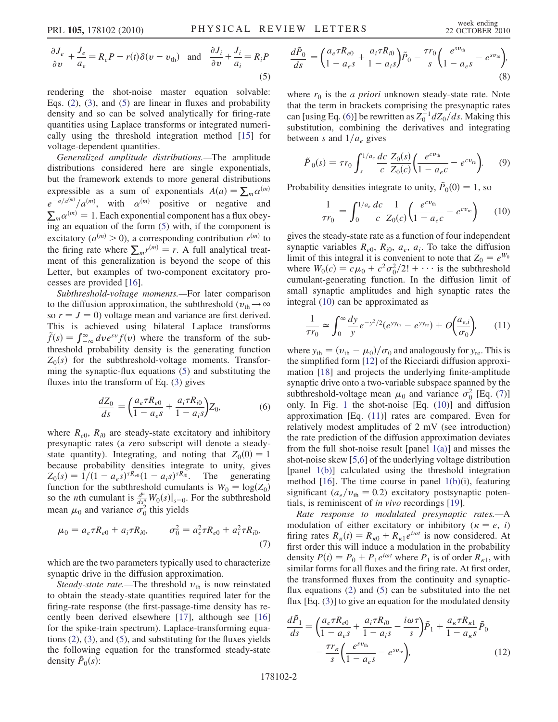<span id="page-1-0"></span>
$$
\frac{\partial J_e}{\partial v} + \frac{J_e}{a_e} = R_e P - r(t)\delta(v - v_{\text{th}}) \text{ and } \frac{\partial J_i}{\partial v} + \frac{J_i}{a_i} = R_i P
$$
\n(5)

rendering the shot-noise master equation solvable: Eqs. ([2\)](#page-0-2), [\(3\)](#page-0-0), and [\(5](#page-1-0)) are linear in fluxes and probability density and so can be solved analytically for firing-rate quantities using Laplace transforms or integrated numerically using the threshold integration method [[15](#page-3-10)] for voltage-dependent quantities.

Generalized amplitude distributions.—The amplitude distributions considered here are single exponentials, but the framework extends to more general distributions expressible as a sum of exponentials  $A(a) = \sum_{m} \alpha^{(m)}$  $e^{-a/a^{(m)}}/a^{(m)}$ , with  $\alpha^{(m)}$  positive or negative and  $\sum_{m} \alpha^{(m)} = 1$ . Each exponential component has a flux obeying an equation of the form [\(5](#page-1-0)) with, if the component is excitatory ( $a^{(m)} > 0$ ), a corresponding contribution  $r^{(m)}$  to the firing rate where  $\sum_{m} r^{(m)} = r$ . A full analytical treatment of this generalization is beyond the scope of this Letter, but examples of two-component excitatory processes are provided [[16](#page-3-11)].

Subthreshold-voltage moments.—For later comparison to the diffusion approximation, the subthreshold ( $v_{\text{th}} \rightarrow \infty$ so  $r = J = 0$ ) voltage mean and variance are first derived. This is achieved using bilateral Laplace transforms  $\tilde{f}(s) = \int_{-\infty}^{\infty} dv e^{sv} f(v)$  where the transform of the subthreshold probability density is the generating function  $Z_0(s)$  for the subthreshold-voltage moments. Transforming the synaptic-flux equations ([5](#page-1-0)) and substituting the fluxes into the transform of Eq. [\(3\)](#page-0-0) gives

$$
\frac{dZ_0}{ds} = \left(\frac{a_e \tau R_{e0}}{1 - a_e s} + \frac{a_i \tau R_{i0}}{1 - a_i s}\right) Z_0,\tag{6}
$$

<span id="page-1-1"></span>where  $R_{e0}$ ,  $R_{i0}$  are steady-state excitatory and inhibitory presynaptic rates (a zero subscript will denote a steadystate quantity). Integrating, and noting that  $Z_0(0) = 1$ because probability densities integrate to unity, gives  $Z_0(s) = 1/(1 - a_e s)^{\tau R_{e0}} (1 - a_i s)^{\tau R_{i0}}$ . The generating function for the subthreshold cumulants is  $W_0 = \log(Z_0)$ so the *n*th cumulant is  $\frac{d^n}{ds^n} W_0(s)|_{s=0}$ . For the subthreshold mean  $\mu_0$  and variance  $\sigma_0^2$  this yields

<span id="page-1-3"></span>
$$
\mu_0 = a_e \tau R_{e0} + a_i \tau R_{i0}, \qquad \sigma_0^2 = a_e^2 \tau R_{e0} + a_i^2 \tau R_{i0}, \tag{7}
$$

which are the two parameters typically used to characterize synaptic drive in the diffusion approximation.

Steady-state rate.—The threshold  $v_{\text{th}}$  is now reinstated to obtain the steady-state quantities required later for the firing-rate response (the first-passage-time density has recently been derived elsewhere [\[17\]](#page-3-12), although see [\[16\]](#page-3-11) for the spike-train spectrum). Laplace-transforming equations  $(2)$ ,  $(3)$  $(3)$  $(3)$ , and  $(5)$  $(5)$ , and substituting for the fluxes yields the following equation for the transformed steady-state density  $\tilde{P}_0(s)$ :

$$
\frac{d\tilde{P}_0}{ds} = \left(\frac{a_e \tau R_{e0}}{1 - a_e s} + \frac{a_i \tau R_{i0}}{1 - a_i s}\right) \tilde{P}_0 - \frac{\tau r_0}{s} \left(\frac{e^{s v_{\text{th}}}}{1 - a_e s} - e^{s v_{\text{re}}}\right),\tag{8}
$$

where  $r_0$  is the *a priori* unknown steady-state rate. Note that the term in brackets comprising the presynaptic rates can [using Eq. ([6](#page-1-1))] be rewritten as  $Z_0^{-1} dZ_0/ds$ . Making this substitution, combining the derivatives and integrating between s and  $1/a_e$  gives

<span id="page-1-5"></span>
$$
\tilde{P}_0(s) = \tau r_0 \int_s^{1/a_e} \frac{dc}{c} \frac{Z_0(s)}{Z_0(c)} \left( \frac{e^{cv_{\text{th}}}}{1 - a_e c} - e^{cv_{\text{re}}} \right). \tag{9}
$$

<span id="page-1-2"></span>Probability densities integrate to unity,  $\tilde{P}_0(0) = 1$ , so

$$
\frac{1}{\tau r_0} = \int_0^{1/a_e} \frac{dc}{c} \frac{1}{Z_0(c)} \left( \frac{e^{cv_{\text{th}}}}{1 - a_e c} - e^{cv_{\text{re}}} \right) \tag{10}
$$

gives the steady-state rate as a function of four independent synaptic variables  $R_{e0}$ ,  $R_{i0}$ ,  $a_e$ ,  $a_i$ . To take the diffusion limit of this integral it is convenient to note that  $Z_0 = e^{W_0}$ where  $W_0(c) = c\mu_0 + c^2\sigma_0^2/2! + \cdots$  is the subthreshold cumulant-generating function. In the diffusion limit of small synaptic amplitudes and high synaptic rates the integral [\(10\)](#page-1-2) can be approximated as

<span id="page-1-4"></span>
$$
\frac{1}{\tau r_0} \simeq \int_0^\infty \frac{dy}{y} e^{-y^2/2} (e^{yy_{\text{th}}} - e^{yy_{\text{re}}}) + O\left(\frac{a_{e,i}}{\sigma_0}\right), \qquad (11)
$$

where  $y_{\text{th}} = (v_{\text{th}} - \mu_0)/\sigma_0$  and analogously for  $y_{\text{re}}$ . This is the simplified form [[12](#page-3-13)] of the Ricciardi diffusion approximation [[18](#page-3-14)] and projects the underlying finite-amplitude synaptic drive onto a two-variable subspace spanned by the subthreshold-voltage mean  $\mu_0$  and variance  $\sigma_0^2$  [Eq. ([7](#page-1-3))] only. In Fig. [1](#page-2-0) the shot-noise [Eq. ([10\)](#page-1-2)] and diffusion approximation [Eq. [\(11\)](#page-1-4)] rates are compared. Even for relatively modest amplitudes of 2 mV (see introduction) the rate prediction of the diffusion approximation deviates from the full shot-noise result [panel [1\(a\)](#page-2-1)] and misses the shot-noise skew [[5](#page-3-15),[6\]](#page-3-16) of the underlying voltage distribution [panel [1\(b\)\]](#page-2-1) calculated using the threshold integration method  $[16]$  $[16]$  $[16]$ . The time course in panel  $1(b)(i)$  $1(b)(i)$ , featuring significant ( $a_e/v_{\text{th}} = 0.2$ ) excitatory postsynaptic potentials, is reminiscent of in vivo recordings [[19](#page-3-17)].

Rate response to modulated presynaptic rates.—A modulation of either excitatory or inhibitory ( $\kappa = e$ , i) firing rates  $R_{\kappa}(t) = R_{\kappa 0} + R_{\kappa 1}e^{i\omega t}$  is now considered. At first order this will induce a modulation in the probability density  $P(t) = P_0 + P_1 e^{i\omega t}$  where  $P_1$  is of order  $R_{\kappa 1}$ , with similar forms for all fluxes and the firing rate. At first order, the transformed fluxes from the continuity and synapticflux equations [\(2](#page-0-2)) and [\(5](#page-1-0)) can be substituted into the net flux [Eq. [\(3](#page-0-0))] to give an equation for the modulated density

$$
\frac{d\tilde{P}_1}{ds} = \left(\frac{a_e \tau R_{e0}}{1 - a_e s} + \frac{a_i \tau R_{i0}}{1 - a_i s} - \frac{i\omega \tau}{s}\right) \tilde{P}_1 + \frac{a_\kappa \tau R_{\kappa 1}}{1 - a_\kappa s} \tilde{P}_0
$$

$$
- \frac{\tau r_\kappa}{s} \left(\frac{e^{s v_{\text{th}}}}{1 - a_e s} - e^{s v_{\text{re}}}\right),\tag{12}
$$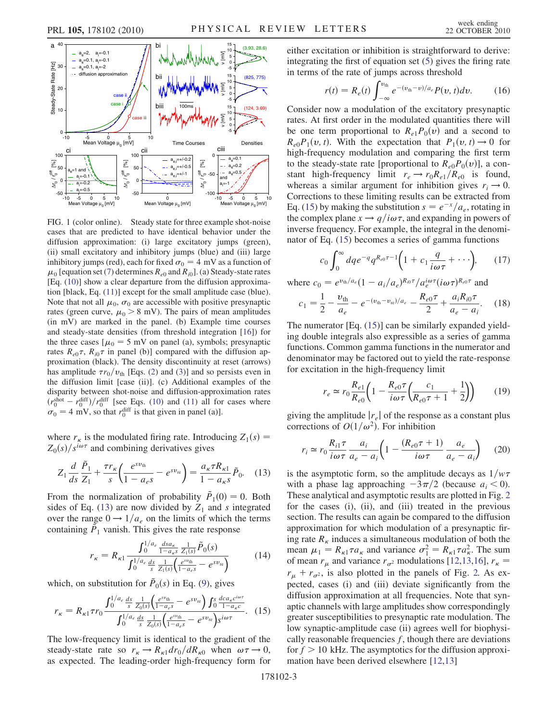<span id="page-2-0"></span>

<span id="page-2-1"></span>FIG. 1 (color online). Steady state for three example shot-noise cases that are predicted to have identical behavior under the diffusion approximation: (i) large excitatory jumps (green), (ii) small excitatory and inhibitory jumps (blue) and (iii) large inhibitory jumps (red), each for fixed  $\sigma_0 = 4$  mV as a function of  $\mu_0$  [equation set [\(7\)](#page-1-3) determines  $R_{e0}$  and  $R_{i0}$ ]. (a) Steady-state rates [Eq. ([10](#page-1-2))] show a clear departure from the diffusion approximation [black, Eq. [\(11\)](#page-1-4)] except for the small amplitude case (blue). Note that not all  $\mu_0$ ,  $\sigma_0$  are accessible with positive presynaptic rates (green curve,  $\mu_0 > 8$  mV). The pairs of mean amplitudes (in mV) are marked in the panel. (b) Example time courses and steady-state densities (from threshold integration [[16](#page-3-11)]) for the three cases  $\mu_0 = 5$  mV on panel (a), symbols; presynaptic rates  $R_{e0} \tau$ ,  $R_{i0} \tau$  in panel (b)] compared with the diffusion approximation (black). The density discontinuity at reset (arrows) has amplitude  $\tau r_0/v_{\text{th}}$  [Eqs. ([2\)](#page-0-2) and [\(3\)](#page-0-0)] and so persists even in the diffusion limit [case (ii)]. (c) Additional examples of the disparity between shot-noise and diffusion-approximation rates  $(r_0^{\text{shot}} - r_0^{\text{diff}})/r_0^{\text{diff}}$  [see Eqs. ([10](#page-1-2)) and [\(11\)](#page-1-4) all for cases where  $\sigma_0 = 4$  mV, so that  $r_0^{\text{diff}}$  is that given in panel (a)].

where  $r_{\kappa}$  is the modulated firing rate. Introducing  $Z_1(s) =$  $Z_0(s)/s^{i\omega\tau}$  and combining derivatives gives

<span id="page-2-2"></span>
$$
Z_1 \frac{d}{ds} \frac{\tilde{P}_1}{Z_1} + \frac{\tau r_{\kappa}}{s} \left( \frac{e^{s v_{\text{th}}}}{1 - a_e s} - e^{s v_{\kappa}} \right) = \frac{a_{\kappa} \tau R_{\kappa 1}}{1 - a_{\kappa} s} \tilde{P}_0. \tag{13}
$$

From the normalization of probability  $\tilde{P}_1(0) = 0$ . Both sides of Eq. [\(13](#page-2-2)) are now divided by  $Z_1$  and s integrated over the range  $0 \rightarrow 1/a_e$  on the limits of which the terms containing  $P_1$  vanish. This gives the rate response

$$
r_{\kappa} = R_{\kappa 1} \frac{\int_0^{1/a_e} \frac{ds a_{\kappa}}{1 - a_{\kappa} s} \frac{1}{Z_1(s)} \tilde{P}_0(s)}{\int_0^{1/a_e} \frac{ds}{s} \frac{1}{Z_1(s)} \left( \frac{e^{sv_{\text{th}}}}{1 - a_e s} - e^{sv_{\text{re}}} \right)} \tag{14}
$$

<span id="page-2-3"></span>which, on substitution for  $\tilde{P}_0(s)$  in Eq. [\(9\)](#page-1-5), gives

$$
r_{\kappa} = R_{\kappa 1} \tau r_0 \frac{\int_0^{1/a_e} \frac{ds}{s} \frac{1}{Z_0(s)} \left( \frac{e^{sv_{\text{th}}}}{1 - a_e s} - e^{sv_{\text{re}}} \right) \int_0^s \frac{dc a_{\kappa} c^{i\omega \tau}}{1 - a_{\kappa} c}}{\int_0^{1/a_e} \frac{ds}{s} \frac{1}{Z_0(s)} \left( \frac{e^{sv_{\text{th}}}}{1 - a_e s} - e^{sv_{\text{re}}} \right) s^{i\omega \tau}}.
$$
 (15)

The low-frequency limit is identical to the gradient of the steady-state rate so  $r_{\kappa} \rightarrow R_{\kappa 1} dr_0/dR_{\kappa 0}$  when  $\omega \tau \rightarrow 0$ , as expected. The leading-order high-frequency form for <span id="page-2-5"></span>either excitation or inhibition is straightforward to derive: integrating the first of equation set ([5\)](#page-1-0) gives the firing rate in terms of the rate of jumps across threshold

$$
r(t) = R_e(t) \int_{-\infty}^{\nu_{\text{th}}} e^{-(\nu_{\text{th}} - \nu)/a_e} P(\nu, t) d\nu.
$$
 (16)

Consider now a modulation of the excitatory presynaptic rates. At first order in the modulated quantities there will be one term proportional to  $R_{e1}P_0(v)$  and a second to  $R_{e0}P_1(v, t)$ . With the expectation that  $P_1(v, t) \rightarrow 0$  for high-frequency modulation and comparing the first term to the steady-state rate [proportional to  $R_{e0}P_0(v)$ ], a constant high-frequency limit  $r_e \rightarrow r_0R_{e1}/R_{e0}$  is found, whereas a similar argument for inhibition gives  $r_i \rightarrow 0$ . Corrections to these limiting results can be extracted from Eq. ([15](#page-2-3)) by making the substitution  $s = e^{-x}/a_e$ , rotating in the complex plane  $x \rightarrow q/i\omega\tau$ , and expanding in powers of inverse frequency. For example, the integral in the denominator of Eq. [\(15\)](#page-2-3) becomes a series of gamma functions

$$
c_0 \int_0^\infty dq e^{-q} q^{R_{e0}\tau - 1} \bigg( 1 + c_1 \frac{q}{i\omega \tau} + \cdots \bigg), \qquad (17)
$$

where 
$$
c_0 = e^{v_{\text{th}}/a_e}(1 - a_i/a_e)^{R_{i0}\tau}/a_e^{i\omega\tau}(i\omega\tau)^{R_{e0}\tau}
$$
 and

$$
c_1 = \frac{1}{2} - \frac{v_{\text{th}}}{a_e} - e^{-(v_{\text{th}} - v_{\text{re}})/a_e} - \frac{R_{e0}\tau}{2} + \frac{a_i R_{i0}\tau}{a_e - a_i}.
$$
 (18)

The numerator [Eq. [\(15\)](#page-2-3)] can be similarly expanded yielding double integrals also expressible as a series of gamma functions. Common gamma functions in the numerator and denominator may be factored out to yield the rate-response for excitation in the high-frequency limit

<span id="page-2-6"></span>
$$
r_e \simeq r_0 \frac{R_{e1}}{R_{e0}} \left( 1 - \frac{R_{e0} \tau}{i \omega \tau} \left( \frac{c_1}{R_{e0} \tau + 1} + \frac{1}{2} \right) \right) \tag{19}
$$

<span id="page-2-4"></span>giving the amplitude  $|r_e|$  of the response as a constant plus corrections of  $O(1/\omega^2)$ . For inhibition

$$
r_i \simeq r_0 \frac{R_{i1} \tau}{i \omega \tau} \frac{a_i}{a_e - a_i} \left( 1 - \frac{(R_{e0} \tau + 1)}{i \omega \tau} \frac{a_e}{a_e - a_i} \right) \tag{20}
$$

is the asymptotic form, so the amplitude decays as  $1/w\tau$ with a phase lag approaching  $-3\pi/2$  (because  $a_i < 0$ ). These analytical and asymptotic results are plotted in Fig. [2](#page-3-18) for the cases (i), (ii), and (iii) treated in the previous section. The results can again be compared to the diffusion approximation for which modulation of a presynaptic firing rate  $R_{\kappa}$  induces a simultaneous modulation of both the mean  $\mu_1 = R_{\kappa 1} \tau a_{\kappa}$  and variance  $\sigma_1^2 = R_{\kappa 1} \tau a_{\kappa}^2$ . The sum of mean  $r_u$  and variance  $r_{\sigma^2}$  modulations [[12](#page-3-13),[13](#page-3-19),[16](#page-3-11)],  $r_k$  =  $r_{\mu} + r_{\sigma^2}$ , is also plotted in the panels of Fig. [2.](#page-3-18) As expected, cases (i) and (iii) deviate significantly from the diffusion approximation at all frequencies. Note that synaptic channels with large amplitudes show correspondingly greater susceptibilities to presynaptic rate modulation. The low synaptic-amplitude case (ii) agrees well for biophysically reasonable frequencies  $f$ , though there are deviations for  $f > 10$  kHz. The asymptotics for the diffusion approximation have been derived elsewhere [\[12](#page-3-13)[,13\]](#page-3-19)